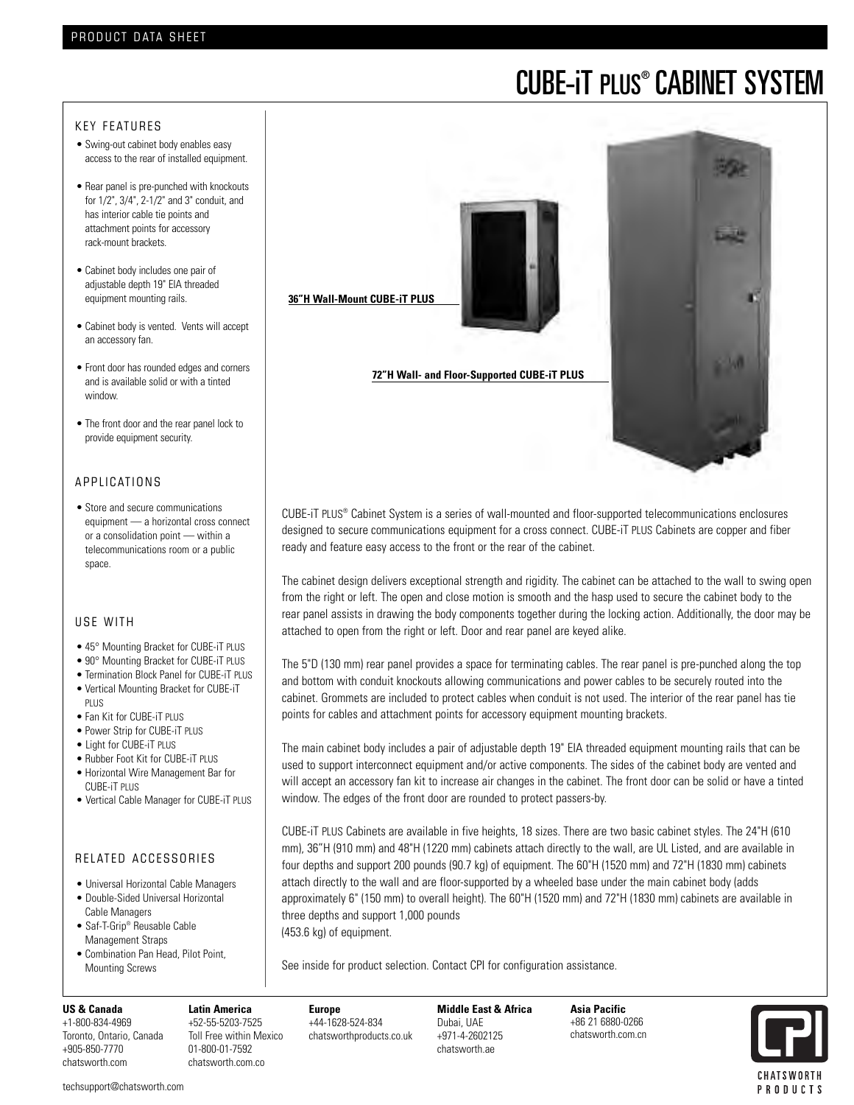# CUBE-iT PLUS® CABINET SYSTEM

## KEY FEATURES

- Swing-out cabinet body enables easy access to the rear of installed equipment.
- Rear panel is pre-punched with knockouts for 1/2", 3/4", 2-1/2" and 3" conduit, and has interior cable tie points and attachment points for accessory rack-mount brackets.
- Cabinet body includes one pair of adjustable depth 19" EIA threaded equipment mounting rails.
- Cabinet body is vented. Vents will accept an accessory fan.
- Front door has rounded edges and corners and is available solid or with a tinted window.
- The front door and the rear panel lock to provide equipment security.

## A P P L I CATIONS

• Store and secure communications equipment — a horizontal cross connect or a consolidation point — within a telecommunications room or a public space.

## USE WITH

- 45° Mounting Bracket for CUBE-iT PLUS
- 90° Mounting Bracket for CUBE-iT PLUS
- Termination Block Panel for CUBE-iT PLUS
- Vertical Mounting Bracket for CUBE-iT PLUS
- Fan Kit for CUBE-iT PLUS
- Power Strip for CUBE-iT PLUS
- Light for CUBE-iT PLUS
- Rubber Foot Kit for CUBE-iT PLUS
- Horizontal Wire Management Bar for CUBE-iT PLUS
- Vertical Cable Manager for CUBE-iT PLUS

## RELATED ACCESSORIES

- Universal Horizontal Cable Managers
- Double-Sided Universal Horizontal Cable Managers
- Saf-T-Grip® Reusable Cable Management Straps
- Combination Pan Head, Pilot Point, Mounting Screws

## **36"H Wall-Mount CUBE-iT PLUS**

**72"H Wall- and Floor-Supported CUBE-iT PLUS**

CUBE-iT PLUS® Cabinet System is a series of wall-mounted and floor-supported telecommunications enclosures designed to secure communications equipment for a cross connect. CUBE-iT PLUS Cabinets are copper and fiber ready and feature easy access to the front or the rear of the cabinet.

The cabinet design delivers exceptional strength and rigidity. The cabinet can be attached to the wall to swing open from the right or left. The open and close motion is smooth and the hasp used to secure the cabinet body to the rear panel assists in drawing the body components together during the locking action. Additionally, the door may be attached to open from the right or left. Door and rear panel are keyed alike.

The 5"D (130 mm) rear panel provides a space for terminating cables. The rear panel is pre-punched along the top and bottom with conduit knockouts allowing communications and power cables to be securely routed into the cabinet. Grommets are included to protect cables when conduit is not used. The interior of the rear panel has tie points for cables and attachment points for accessory equipment mounting brackets.

The main cabinet body includes a pair of adjustable depth 19" EIA threaded equipment mounting rails that can be used to support interconnect equipment and/or active components. The sides of the cabinet body are vented and will accept an accessory fan kit to increase air changes in the cabinet. The front door can be solid or have a tinted window. The edges of the front door are rounded to protect passers-by.

CUBE-iT PLUS Cabinets are available in five heights, 18 sizes. There are two basic cabinet styles. The 24"H (610 mm), 36"H (910 mm) and 48"H (1220 mm) cabinets attach directly to the wall, are UL Listed, and are available in four depths and support 200 pounds (90.7 kg) of equipment. The 60"H (1520 mm) and 72"H (1830 mm) cabinets attach directly to the wall and are floor-supported by a wheeled base under the main cabinet body (adds approximately 6" (150 mm) to overall height). The 60"H (1520 mm) and 72"H (1830 mm) cabinets are available in three depths and support 1,000 pounds

(453.6 kg) of equipment.

See inside for product selection. Contact CPI for configuration assistance.

#### **US & Canada**

+1-800-834-4969 Toronto, Ontario, Canada +905-850-7770 chatsworth.com

**Europe** +44-1628-524-834 chatsworthproducts.co.uk

**Middle East & Africa** Dubai, UAE +971-4-2602125 chatsworth.ae

**Asia Pacific** +86 21 6880-0266 chatsworth.com.cn



techsupport@chatsworth.com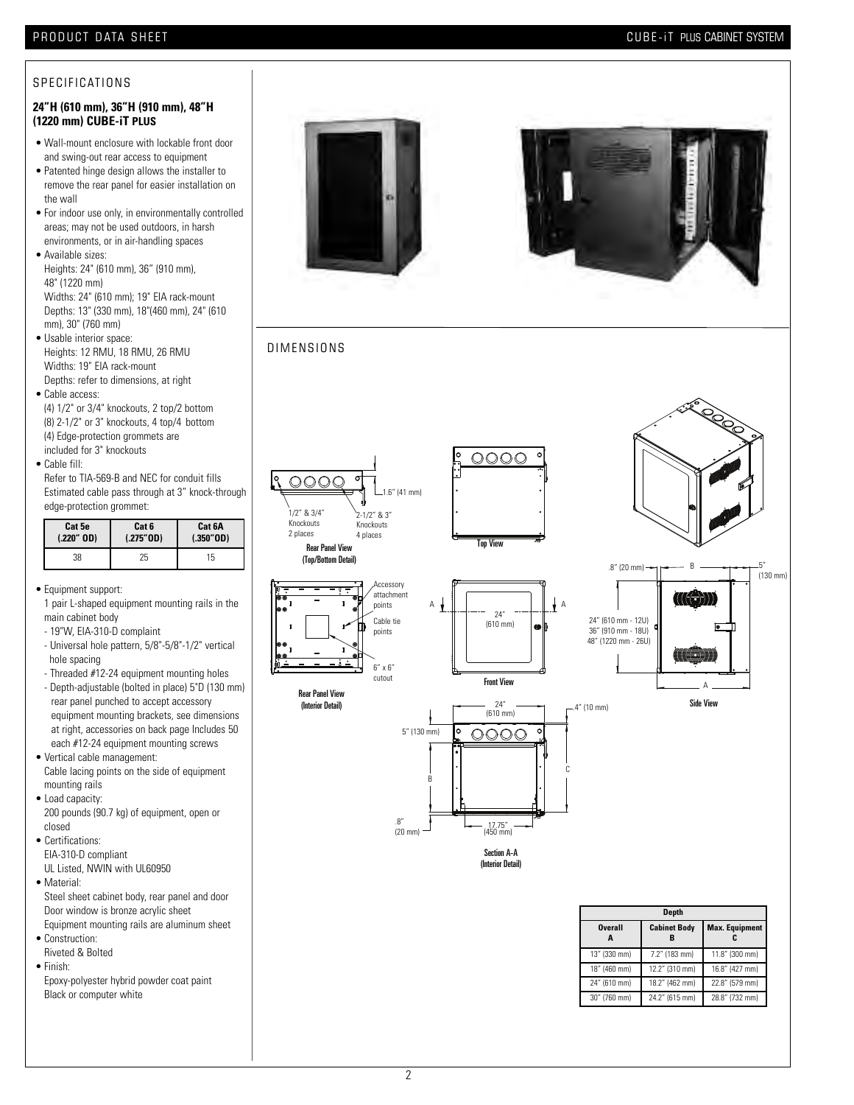## PRODUCT DATA SHEET **ALL ASSESS** TO A TABLE THE SYSTEM CUBE-IT PLUS CABINET SYSTEM

30" (760 mm) 24.2" (615 mm) 28.8" (732 mm)

### S P E CIFICATIONS

#### **24"H (610 mm), 36"H (910 mm), 48"H (1220 mm) CUBE-iT PLUS**

- Wall-mount enclosure with lockable front door and swing-out rear access to equipment
- Patented hinge design allows the installer to remove the rear panel for easier installation on the wall
- For indoor use only, in environmentally controlled areas; may not be used outdoors, in harsh environments, or in air-handling spaces
- Available sizes: Heights: 24" (610 mm), 36" (910 mm), 48" (1220 mm) Widths: 24" (610 mm); 19" EIA rack-mount Depths: 13" (330 mm), 18"(460 mm), 24" (610 mm), 30" (760 mm) • Usable interior space:
- Heights: 12 RMU, 18 RMU, 26 RMU Widths: 19" EIA rack-mount Depths: refer to dimensions, at right
- Cable access: (4) 1/2" or 3/4" knockouts, 2 top/2 bottom (8) 2-1/2" or 3" knockouts, 4 top/4 bottom (4) Edge-protection grommets are included for 3" knockouts
- Cable fill:
- Refer to TIA-569-B and NEC for conduit fills Estimated cable pass through at 3" knock-through edge-protection grommet:

| Cat 5e       | Cat 6     | Cat 6A    |
|--------------|-----------|-----------|
| $(.220"$ OD) | (.275"0D) | (.350"0D) |
| 38           | 25        | 15        |

- Equipment support:
- 1 pair L-shaped equipment mounting rails in the main cabinet body
- 19"W, EIA-310-D complaint
- Universal hole pattern, 5/8"-5/8"-1/2" vertical hole spacing
- Threaded #12-24 equipment mounting holes
- Depth-adjustable (bolted in place) 5"D (130 mm) rear panel punched to accept accessory equipment mounting brackets, see dimensions at right, accessories on back page Includes 50 each #12-24 equipment mounting screws
- Vertical cable management: Cable lacing points on the side of equipment mounting rails
- Load capacity:
- 200 pounds (90.7 kg) of equipment, open or closed
- Certifications: EIA-310-D compliant UL Listed, NWIN with UL60950
- Material: Steel sheet cabinet body, rear panel and door Door window is bronze acrylic sheet Equipment mounting rails are aluminum sheet
- Construction: Riveted & Bolted
- Finish: Epoxy-polyester hybrid powder coat paint Black or computer white